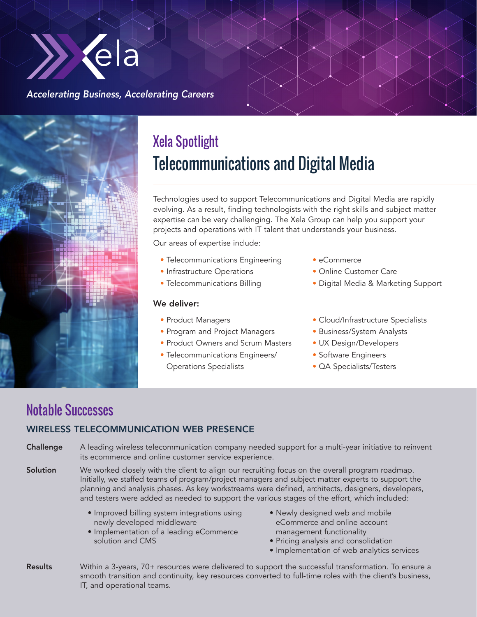

#### *Accelerating Business, Accelerating Careers*



# Xela Spotlight Telecommunications and Digital Media

Technologies used to support Telecommunications and Digital Media are rapidly evolving. As a result, finding technologists with the right skills and subject matter expertise can be very challenging. The Xela Group can help you support your projects and operations with IT talent that understands your business.

Our areas of expertise include:

- Telecommunications Engineering
- Infrastructure Operations
- Telecommunications Billing

#### We deliver:

- Product Managers
- Program and Project Managers
- Product Owners and Scrum Masters
- Telecommunications Engineers/ Operations Specialists
- eCommerce
- Online Customer Care
- Digital Media & Marketing Support
- Cloud/Infrastructure Specialists
- Business/System Analysts
- UX Design/Developers
- Software Engineers
- QA Specialists/Testers

### Notable Successes

#### WIRELESS TELECOMMUNICATION WEB PRESENCE

Challenge A leading wireless telecommunication company needed support for a multi-year initiative to reinvent its ecommerce and online customer service experience.

Solution We worked closely with the client to align our recruiting focus on the overall program roadmap. Initially, we staffed teams of program/project managers and subject matter experts to support the planning and analysis phases. As key workstreams were defined, architects, designers, developers, and testers were added as needed to support the various stages of the effort, which included:

- Improved billing system integrations using newly developed middleware
- Implementation of a leading eCommerce solution and CMS
- Newly designed web and mobile eCommerce and online account management functionality
- Pricing analysis and consolidation
- Implementation of web analytics services
- Results Within a 3-years, 70+ resources were delivered to support the successful transformation. To ensure a smooth transition and continuity, key resources converted to full-time roles with the client's business, IT, and operational teams.